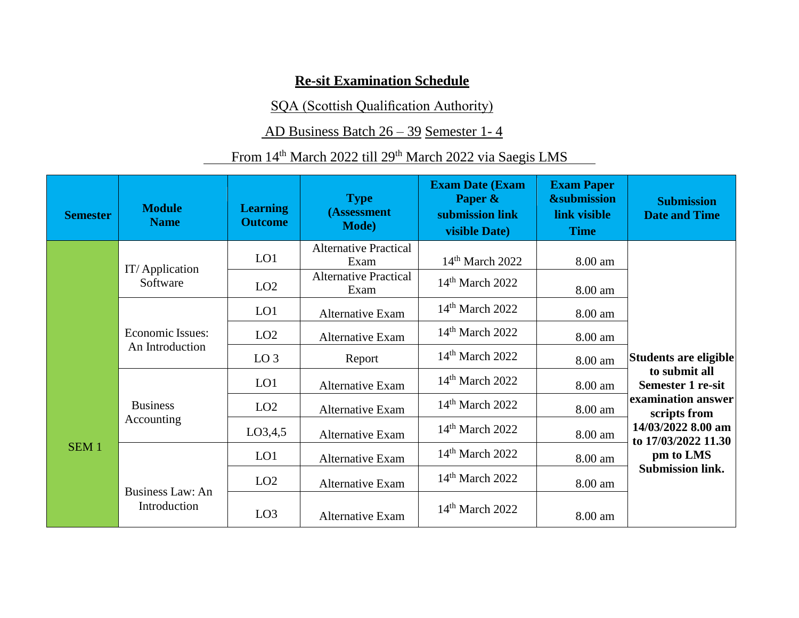## **Re-sit Examination Schedule**

SQA (Scottish Qualification Authority)

## AD Business Batch 26 – 39 Semester 1- 4

## From 14<sup>th</sup> March 2022 till 29<sup>th</sup> March 2022 via Saegis LMS

| <b>Semester</b>  | <b>Module</b><br><b>Name</b>        | <b>Learning</b><br><b>Outcome</b> | <b>Type</b><br>(Assessment<br><b>Mode</b> ) | <b>Exam Date (Exam</b><br>Paper &<br>submission link<br>visible Date) | <b>Exam Paper</b><br><b>&amp;submission</b><br>link visible<br><b>Time</b> | <b>Submission</b><br><b>Date and Time</b> |
|------------------|-------------------------------------|-----------------------------------|---------------------------------------------|-----------------------------------------------------------------------|----------------------------------------------------------------------------|-------------------------------------------|
|                  |                                     | LO1                               | <b>Alternative Practical</b><br>Exam        | $14th$ March 2022                                                     | 8.00 am                                                                    |                                           |
|                  | IT/Application<br>Software          | LO2                               | <b>Alternative Practical</b><br>Exam        | $14th$ March 2022                                                     | 8.00 am                                                                    |                                           |
|                  |                                     | LO1                               | <b>Alternative Exam</b>                     | $14th$ March 2022                                                     | 8.00 am                                                                    |                                           |
|                  | Economic Issues:<br>An Introduction | LO2                               | Alternative Exam                            | $14th$ March 2022                                                     | 8.00 am                                                                    |                                           |
|                  |                                     | LO <sub>3</sub>                   | Report                                      | $14th$ March 2022                                                     | 8.00 am                                                                    | Students are eligible                     |
|                  |                                     | LO1                               | <b>Alternative Exam</b>                     | $14th$ March 2022                                                     | 8.00 am                                                                    | to submit all<br><b>Semester 1 re-sit</b> |
|                  | <b>Business</b>                     | LO <sub>2</sub>                   | <b>Alternative Exam</b>                     | $14th$ March 2022                                                     | 8.00 am                                                                    | examination answer<br>scripts from        |
|                  | Accounting                          | LO3,4,5                           | <b>Alternative Exam</b>                     | $14th$ March 2022                                                     | 8.00 am                                                                    | 14/03/2022 8.00 am<br>to 17/03/2022 11.30 |
| SEM <sub>1</sub> |                                     | LO1                               | <b>Alternative Exam</b>                     | $14th$ March 2022                                                     | 8.00 am                                                                    | pm to LMS                                 |
|                  | <b>Business Law: An</b>             | LO2                               | Alternative Exam                            | $14th$ March 2022                                                     | 8.00 am                                                                    | <b>Submission link.</b>                   |
|                  | Introduction                        | LO3                               | <b>Alternative Exam</b>                     | $14th$ March 2022                                                     | 8.00 am                                                                    |                                           |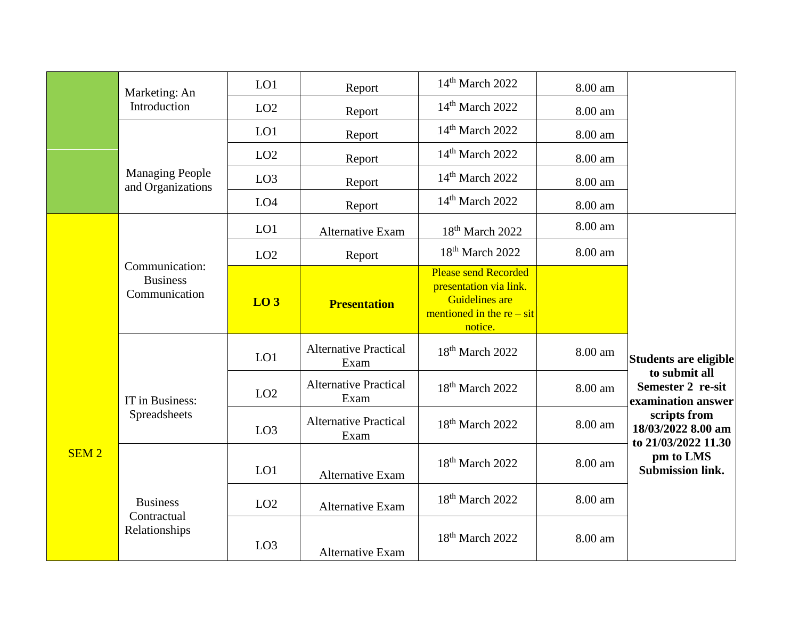|                  | Marketing: An                                      | LO1             | Report                               | 14 <sup>th</sup> March 2022                                                                                              | 8.00 am |                                                           |
|------------------|----------------------------------------------------|-----------------|--------------------------------------|--------------------------------------------------------------------------------------------------------------------------|---------|-----------------------------------------------------------|
|                  | Introduction                                       | LO <sub>2</sub> | Report                               | 14 <sup>th</sup> March 2022                                                                                              | 8.00 am |                                                           |
|                  |                                                    | LO1             | Report                               | 14 <sup>th</sup> March 2022                                                                                              | 8.00 am |                                                           |
|                  |                                                    | LO <sub>2</sub> | Report                               | 14 <sup>th</sup> March 2022                                                                                              | 8.00 am |                                                           |
|                  | <b>Managing People</b><br>and Organizations        | LO <sub>3</sub> | Report                               | 14 <sup>th</sup> March 2022                                                                                              | 8.00 am |                                                           |
|                  |                                                    | LO <sub>4</sub> | Report                               | 14 <sup>th</sup> March 2022                                                                                              | 8.00 am |                                                           |
|                  |                                                    | LO1             | Alternative Exam                     | 18 <sup>th</sup> March 2022                                                                                              | 8.00 am |                                                           |
|                  |                                                    | LO <sub>2</sub> | Report                               | 18 <sup>th</sup> March 2022                                                                                              | 8.00 am |                                                           |
|                  | Communication:<br><b>Business</b><br>Communication | LO <sub>3</sub> | <b>Presentation</b>                  | <b>Please send Recorded</b><br>presentation via link.<br><b>Guidelines</b> are<br>mentioned in the $re - sit$<br>notice. |         |                                                           |
|                  |                                                    | LO1             | <b>Alternative Practical</b><br>Exam | 18 <sup>th</sup> March 2022                                                                                              | 8.00 am | Students are eligible                                     |
|                  | IT in Business:                                    | LO2             | <b>Alternative Practical</b><br>Exam | 18 <sup>th</sup> March 2022                                                                                              | 8.00 am | to submit all<br>Semester 2 re-sit<br>examination answer  |
|                  | Spreadsheets                                       | LO <sub>3</sub> | <b>Alternative Practical</b><br>Exam | 18 <sup>th</sup> March 2022                                                                                              | 8.00 am | scripts from<br>18/03/2022 8.00 am<br>to 21/03/2022 11.30 |
| SEM <sub>2</sub> |                                                    | LO1             | <b>Alternative Exam</b>              | 18 <sup>th</sup> March 2022                                                                                              | 8.00 am | pm to LMS<br><b>Submission link.</b>                      |
|                  | <b>Business</b><br>Contractual                     | LO <sub>2</sub> | Alternative Exam                     | 18 <sup>th</sup> March 2022                                                                                              | 8.00 am |                                                           |
|                  | Relationships                                      | LO <sub>3</sub> | <b>Alternative Exam</b>              | 18 <sup>th</sup> March 2022                                                                                              | 8.00 am |                                                           |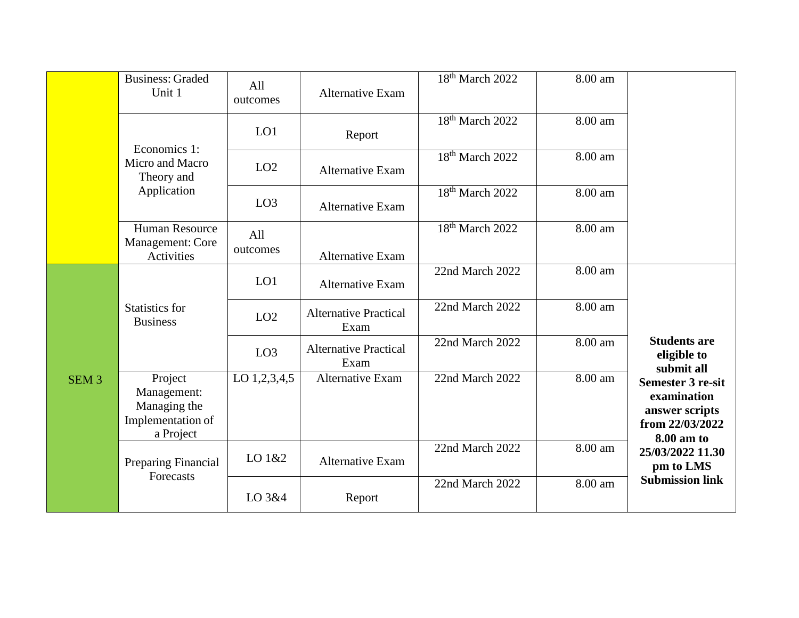|                  | <b>Business: Graded</b><br>Unit 1                                        | All<br>outcomes | <b>Alternative Exam</b>              | 18 <sup>th</sup> March 2022 | 8.00 am |                                                                                            |
|------------------|--------------------------------------------------------------------------|-----------------|--------------------------------------|-----------------------------|---------|--------------------------------------------------------------------------------------------|
|                  | Economics 1:                                                             | LO1             | Report                               | $18th$ March 2022           | 8.00 am |                                                                                            |
|                  | Micro and Macro<br>Theory and                                            | LO2             | <b>Alternative Exam</b>              | 18 <sup>th</sup> March 2022 | 8.00 am |                                                                                            |
|                  | Application                                                              | LO3             | <b>Alternative Exam</b>              | $18th$ March 2022           | 8.00 am |                                                                                            |
|                  | Human Resource<br>Management: Core<br>Activities                         | All<br>outcomes | <b>Alternative Exam</b>              | 18 <sup>th</sup> March 2022 | 8.00 am |                                                                                            |
|                  |                                                                          | LO1             | Alternative Exam                     | 22nd March 2022             | 8.00 am |                                                                                            |
|                  | <b>Statistics for</b><br><b>Business</b>                                 | LO2             | <b>Alternative Practical</b><br>Exam | 22nd March 2022             | 8.00 am |                                                                                            |
|                  |                                                                          | LO <sub>3</sub> | <b>Alternative Practical</b><br>Exam | 22nd March 2022             | 8.00 am | <b>Students are</b><br>eligible to<br>submit all                                           |
| SEM <sub>3</sub> | Project<br>Management:<br>Managing the<br>Implementation of<br>a Project | LO 1,2,3,4,5    | Alternative Exam                     | 22nd March 2022             | 8.00 am | <b>Semester 3 re-sit</b><br>examination<br>answer scripts<br>from 22/03/2022<br>8.00 am to |
|                  | <b>Preparing Financial</b><br>Forecasts                                  | LO 1&2          | <b>Alternative Exam</b>              | 22nd March 2022             | 8.00 am | 25/03/2022 11.30<br>pm to LMS                                                              |
|                  |                                                                          | LO 3&4          | Report                               | 22nd March 2022             | 8.00 am | <b>Submission link</b>                                                                     |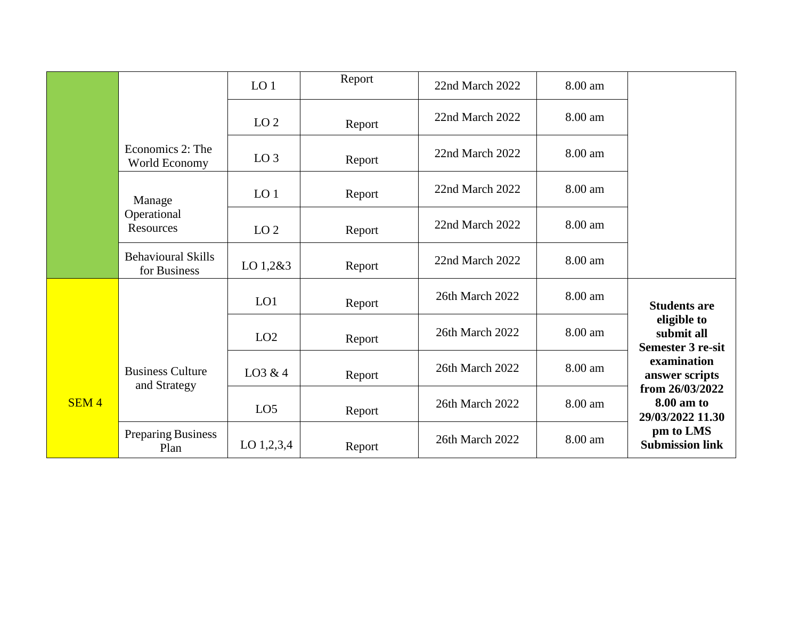|                  |                                           | LO <sub>1</sub> | Report | 22nd March 2022 | 8.00 am |                                                       |
|------------------|-------------------------------------------|-----------------|--------|-----------------|---------|-------------------------------------------------------|
|                  |                                           | LO <sub>2</sub> | Report | 22nd March 2022 | 8.00 am |                                                       |
|                  | Economics 2: The<br>World Economy         | LO <sub>3</sub> | Report | 22nd March 2022 | 8.00 am |                                                       |
|                  | Manage                                    | LO <sub>1</sub> | Report | 22nd March 2022 | 8.00 am |                                                       |
|                  | Operational<br>Resources                  | LO <sub>2</sub> | Report | 22nd March 2022 | 8.00 am |                                                       |
|                  | <b>Behavioural Skills</b><br>for Business | LO 1,2&3        | Report | 22nd March 2022 | 8.00 am |                                                       |
|                  |                                           | LO1             | Report | 26th March 2022 | 8.00 am | <b>Students are</b>                                   |
|                  |                                           | LO2             | Report | 26th March 2022 | 8.00 am | eligible to<br>submit all<br><b>Semester 3 re-sit</b> |
|                  | <b>Business Culture</b><br>and Strategy   | LO3 & 4         | Report | 26th March 2022 | 8.00 am | examination<br>answer scripts                         |
| SEM <sub>4</sub> |                                           | LO <sub>5</sub> | Report | 26th March 2022 | 8.00 am | from 26/03/2022<br>8.00 am to<br>29/03/2022 11.30     |
|                  | Preparing Business<br>Plan                | LO $1,2,3,4$    | Report | 26th March 2022 | 8.00 am | pm to LMS<br><b>Submission link</b>                   |